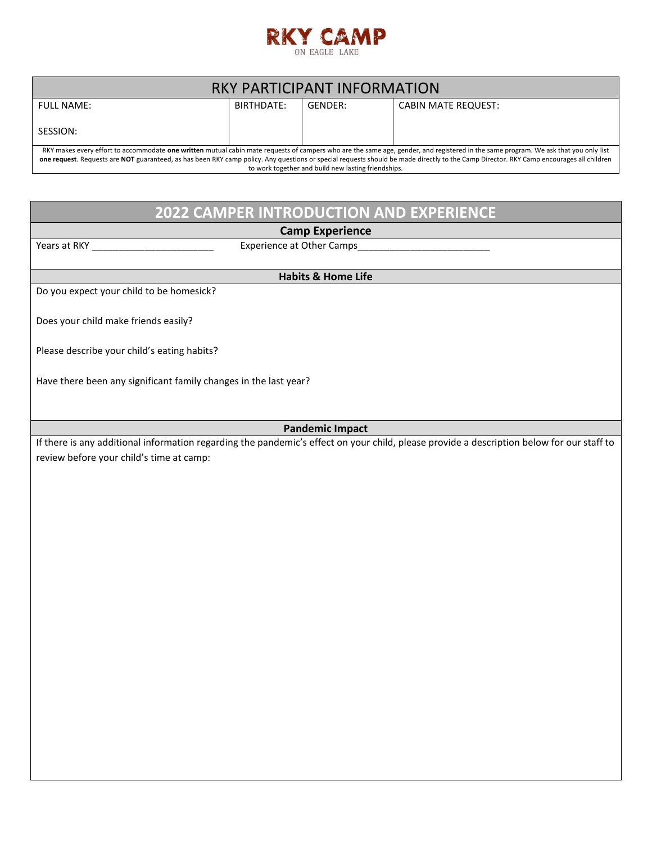

| RKY PARTICIPANT INFORMATION                                                                                                                                                                                                                    |            |         |                                                                                                                                                                                     |  |  |  |  |  |
|------------------------------------------------------------------------------------------------------------------------------------------------------------------------------------------------------------------------------------------------|------------|---------|-------------------------------------------------------------------------------------------------------------------------------------------------------------------------------------|--|--|--|--|--|
| <b>FULL NAME:</b>                                                                                                                                                                                                                              | BIRTHDATE: | GENDER: | <b>CABIN MATE REQUEST:</b>                                                                                                                                                          |  |  |  |  |  |
| SESSION:                                                                                                                                                                                                                                       |            |         |                                                                                                                                                                                     |  |  |  |  |  |
|                                                                                                                                                                                                                                                |            |         | RKY makes every effort to accommodate one written mutual cabin mate requests of campers who are the same age, gender, and registered in the same program. We ask that you only list |  |  |  |  |  |
| one request. Requests are NOT guaranteed, as has been RKY camp policy. Any questions or special requests should be made directly to the Camp Director. RKY Camp encourages all children<br>to work together and build new lasting friendships. |            |         |                                                                                                                                                                                     |  |  |  |  |  |
|                                                                                                                                                                                                                                                |            |         |                                                                                                                                                                                     |  |  |  |  |  |
|                                                                                                                                                                                                                                                |            |         |                                                                                                                                                                                     |  |  |  |  |  |
| <b>2022 CAMPER INTRODUCTION AND EXPERIENCE</b>                                                                                                                                                                                                 |            |         |                                                                                                                                                                                     |  |  |  |  |  |
| <b>Camp Experience</b><br>Years at RKY ___________                                                                                                                                                                                             |            |         |                                                                                                                                                                                     |  |  |  |  |  |
|                                                                                                                                                                                                                                                |            |         |                                                                                                                                                                                     |  |  |  |  |  |
| <b>Habits &amp; Home Life</b>                                                                                                                                                                                                                  |            |         |                                                                                                                                                                                     |  |  |  |  |  |
| Do you expect your child to be homesick?                                                                                                                                                                                                       |            |         |                                                                                                                                                                                     |  |  |  |  |  |
| Does your child make friends easily?                                                                                                                                                                                                           |            |         |                                                                                                                                                                                     |  |  |  |  |  |
|                                                                                                                                                                                                                                                |            |         |                                                                                                                                                                                     |  |  |  |  |  |
| Please describe your child's eating habits?                                                                                                                                                                                                    |            |         |                                                                                                                                                                                     |  |  |  |  |  |
| Have there been any significant family changes in the last year?                                                                                                                                                                               |            |         |                                                                                                                                                                                     |  |  |  |  |  |
|                                                                                                                                                                                                                                                |            |         |                                                                                                                                                                                     |  |  |  |  |  |
|                                                                                                                                                                                                                                                |            |         |                                                                                                                                                                                     |  |  |  |  |  |
| <b>Pandemic Impact</b>                                                                                                                                                                                                                         |            |         |                                                                                                                                                                                     |  |  |  |  |  |
|                                                                                                                                                                                                                                                |            |         | If there is any additional information regarding the pandemic's effect on your child, please provide a description below for our staff to                                           |  |  |  |  |  |
| review before your child's time at camp:                                                                                                                                                                                                       |            |         |                                                                                                                                                                                     |  |  |  |  |  |
|                                                                                                                                                                                                                                                |            |         |                                                                                                                                                                                     |  |  |  |  |  |
|                                                                                                                                                                                                                                                |            |         |                                                                                                                                                                                     |  |  |  |  |  |
|                                                                                                                                                                                                                                                |            |         |                                                                                                                                                                                     |  |  |  |  |  |
|                                                                                                                                                                                                                                                |            |         |                                                                                                                                                                                     |  |  |  |  |  |
|                                                                                                                                                                                                                                                |            |         |                                                                                                                                                                                     |  |  |  |  |  |
|                                                                                                                                                                                                                                                |            |         |                                                                                                                                                                                     |  |  |  |  |  |
|                                                                                                                                                                                                                                                |            |         |                                                                                                                                                                                     |  |  |  |  |  |
|                                                                                                                                                                                                                                                |            |         |                                                                                                                                                                                     |  |  |  |  |  |
|                                                                                                                                                                                                                                                |            |         |                                                                                                                                                                                     |  |  |  |  |  |
|                                                                                                                                                                                                                                                |            |         |                                                                                                                                                                                     |  |  |  |  |  |
|                                                                                                                                                                                                                                                |            |         |                                                                                                                                                                                     |  |  |  |  |  |
|                                                                                                                                                                                                                                                |            |         |                                                                                                                                                                                     |  |  |  |  |  |
|                                                                                                                                                                                                                                                |            |         |                                                                                                                                                                                     |  |  |  |  |  |
|                                                                                                                                                                                                                                                |            |         |                                                                                                                                                                                     |  |  |  |  |  |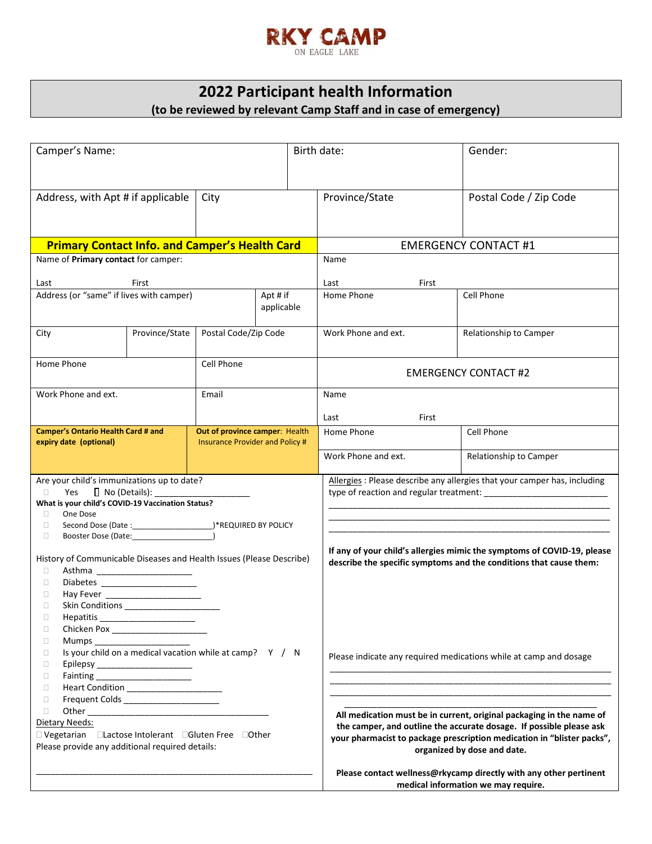

# **2022 Participant health Information (to be reviewed by relevant Camp Staff and in case of emergency)**

| Camper's Name:                                                                                                                                                                                                                                                                                                                                                                                                                                                                                                                                                                                                                                                                                                                                     |                |                                | Birth date:                         |                                                                                                                                                                                                                                                                                                                                                                                                | Gender:                     |                        |  |
|----------------------------------------------------------------------------------------------------------------------------------------------------------------------------------------------------------------------------------------------------------------------------------------------------------------------------------------------------------------------------------------------------------------------------------------------------------------------------------------------------------------------------------------------------------------------------------------------------------------------------------------------------------------------------------------------------------------------------------------------------|----------------|--------------------------------|-------------------------------------|------------------------------------------------------------------------------------------------------------------------------------------------------------------------------------------------------------------------------------------------------------------------------------------------------------------------------------------------------------------------------------------------|-----------------------------|------------------------|--|
| Address, with Apt # if applicable                                                                                                                                                                                                                                                                                                                                                                                                                                                                                                                                                                                                                                                                                                                  |                | City                           |                                     |                                                                                                                                                                                                                                                                                                                                                                                                | Province/State              | Postal Code / Zip Code |  |
| <b>Primary Contact Info. and Camper's Health Card</b>                                                                                                                                                                                                                                                                                                                                                                                                                                                                                                                                                                                                                                                                                              |                |                                |                                     | <b>EMERGENCY CONTACT #1</b>                                                                                                                                                                                                                                                                                                                                                                    |                             |                        |  |
| Name of Primary contact for camper:                                                                                                                                                                                                                                                                                                                                                                                                                                                                                                                                                                                                                                                                                                                |                |                                |                                     | Name                                                                                                                                                                                                                                                                                                                                                                                           |                             |                        |  |
| First<br>Last                                                                                                                                                                                                                                                                                                                                                                                                                                                                                                                                                                                                                                                                                                                                      |                |                                |                                     | First<br>Last                                                                                                                                                                                                                                                                                                                                                                                  |                             |                        |  |
| Address (or "same" if lives with camper)                                                                                                                                                                                                                                                                                                                                                                                                                                                                                                                                                                                                                                                                                                           |                |                                | Apt # if<br>applicable              |                                                                                                                                                                                                                                                                                                                                                                                                | Home Phone                  | Cell Phone             |  |
| City                                                                                                                                                                                                                                                                                                                                                                                                                                                                                                                                                                                                                                                                                                                                               | Province/State | Postal Code/Zip Code           |                                     |                                                                                                                                                                                                                                                                                                                                                                                                | Work Phone and ext.         | Relationship to Camper |  |
| Home Phone                                                                                                                                                                                                                                                                                                                                                                                                                                                                                                                                                                                                                                                                                                                                         |                | Cell Phone                     |                                     |                                                                                                                                                                                                                                                                                                                                                                                                | <b>EMERGENCY CONTACT #2</b> |                        |  |
| Work Phone and ext.                                                                                                                                                                                                                                                                                                                                                                                                                                                                                                                                                                                                                                                                                                                                | Email          |                                |                                     | Name                                                                                                                                                                                                                                                                                                                                                                                           |                             |                        |  |
|                                                                                                                                                                                                                                                                                                                                                                                                                                                                                                                                                                                                                                                                                                                                                    |                |                                |                                     | First<br>Last                                                                                                                                                                                                                                                                                                                                                                                  |                             |                        |  |
| <b>Camper's Ontario Health Card # and</b><br><b>Insurance Provider and Policy #</b><br>expiry date (optional)                                                                                                                                                                                                                                                                                                                                                                                                                                                                                                                                                                                                                                      |                | Out of province camper: Health |                                     |                                                                                                                                                                                                                                                                                                                                                                                                | Home Phone                  | Cell Phone             |  |
|                                                                                                                                                                                                                                                                                                                                                                                                                                                                                                                                                                                                                                                                                                                                                    |                |                                |                                     | Work Phone and ext.                                                                                                                                                                                                                                                                                                                                                                            | Relationship to Camper      |                        |  |
| Are your child's immunizations up to date?<br>$\Box$ No (Details):<br>Yes<br>$\Box$<br>What is your child's COVID-19 Vaccination Status?<br>One Dose<br>$\Box$<br>$\Box$<br>$\Box$<br>Booster Dose (Date: 2008)<br>History of Communicable Diseases and Health Issues (Please Describe)<br>$\Box$<br>Asthma ________________________<br>Diabetes ______________________<br>$\Box$<br>$\Box$<br>$\Box$<br>Hepatitis_<br>$\Box$<br>Mumps<br>$\Box$<br>Is your child on a medical vacation while at camp? Y / N<br>$\Box$<br>$\Box$<br>$\Box$<br>$\Box$<br>Frequent Colds _______________________<br>$\Box$<br>$\Box$<br>Dietary Needs:<br>□ Vegetarian □ Lactose Intolerant □ Gluten Free □ Other<br>Please provide any additional required details: |                |                                |                                     | Allergies : Please describe any allergies that your camper has, including<br>If any of your child's allergies mimic the symptoms of COVID-19, please<br>describe the specific symptoms and the conditions that cause them:                                                                                                                                                                     |                             |                        |  |
|                                                                                                                                                                                                                                                                                                                                                                                                                                                                                                                                                                                                                                                                                                                                                    |                |                                |                                     | Please indicate any required medications while at camp and dosage<br>All medication must be in current, original packaging in the name of<br>the camper, and outline the accurate dosage. If possible please ask<br>your pharmacist to package prescription medication in "blister packs",<br>organized by dose and date.<br>Please contact wellness@rkycamp directly with any other pertinent |                             |                        |  |
|                                                                                                                                                                                                                                                                                                                                                                                                                                                                                                                                                                                                                                                                                                                                                    |                |                                |                                     |                                                                                                                                                                                                                                                                                                                                                                                                |                             |                        |  |
|                                                                                                                                                                                                                                                                                                                                                                                                                                                                                                                                                                                                                                                                                                                                                    |                |                                | medical information we may require. |                                                                                                                                                                                                                                                                                                                                                                                                |                             |                        |  |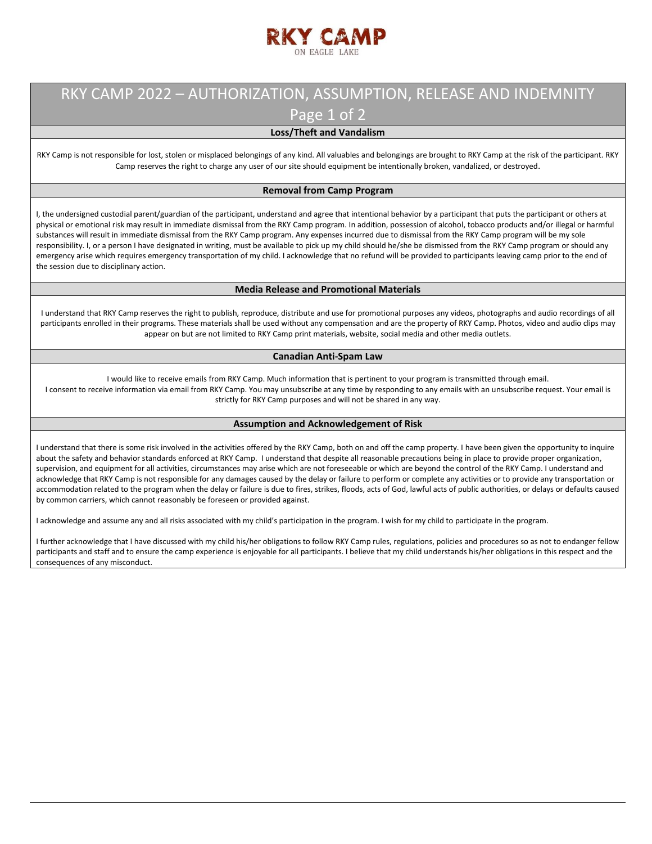

### RKY CAMP 2022 – AUTHORIZATION, ASSUMPTION, RELEASE AND INDEMNITY Page 1 of 2

### **Loss/Theft and Vandalism**

RKY Camp is not responsible for lost, stolen or misplaced belongings of any kind. All valuables and belongings are brought to RKY Camp at the risk of the participant. RKY Camp reserves the right to charge any user of our site should equipment be intentionally broken, vandalized, or destroyed.

#### **Removal from Camp Program**

I, the undersigned custodial parent/guardian of the participant, understand and agree that intentional behavior by a participant that puts the participant or others at physical or emotional risk may result in immediate dismissal from the RKY Camp program. In addition, possession of alcohol, tobacco products and/or illegal or harmful substances will result in immediate dismissal from the RKY Camp program. Any expenses incurred due to dismissal from the RKY Camp program will be my sole responsibility. I, or a person I have designated in writing, must be available to pick up my child should he/she be dismissed from the RKY Camp program or should any emergency arise which requires emergency transportation of my child. I acknowledge that no refund will be provided to participants leaving camp prior to the end of the session due to disciplinary action.

#### **Media Release and Promotional Materials**

I understand that RKY Camp reserves the right to publish, reproduce, distribute and use for promotional purposes any videos, photographs and audio recordings of all participants enrolled in their programs. These materials shall be used without any compensation and are the property of RKY Camp. Photos, video and audio clips may appear on but are not limited to RKY Camp print materials, website, social media and other media outlets.

#### **Canadian Anti-Spam Law**

I would like to receive emails from RKY Camp. Much information that is pertinent to your program is transmitted through email. I consent to receive information via email from RKY Camp. You may unsubscribe at any time by responding to any emails with an unsubscribe request. Your email is strictly for RKY Camp purposes and will not be shared in any way.

#### **Assumption and Acknowledgement of Risk**

I understand that there is some risk involved in the activities offered by the RKY Camp, both on and off the camp property. I have been given the opportunity to inquire about the safety and behavior standards enforced at RKY Camp. I understand that despite all reasonable precautions being in place to provide proper organization, supervision, and equipment for all activities, circumstances may arise which are not foreseeable or which are beyond the control of the RKY Camp. I understand and acknowledge that RKY Camp is not responsible for any damages caused by the delay or failure to perform or complete any activities or to provide any transportation or accommodation related to the program when the delay or failure is due to fires, strikes, floods, acts of God, lawful acts of public authorities, or delays or defaults caused by common carriers, which cannot reasonably be foreseen or provided against.

I acknowledge and assume any and all risks associated with my child's participation in the program. I wish for my child to participate in the program.

I further acknowledge that I have discussed with my child his/her obligations to follow RKY Camp rules, regulations, policies and procedures so as not to endanger fellow participants and staff and to ensure the camp experience is enjoyable for all participants. I believe that my child understands his/her obligations in this respect and the consequences of any misconduct.